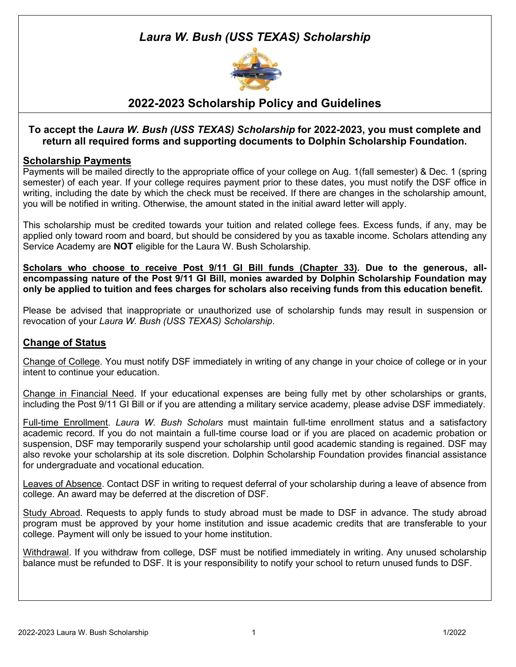# *Laura W. Bush (USS TEXAS) Scholarship*



### **2022-2023 Scholarship Policy and Guidelines**

### **To accept the** *Laura W. Bush (USS TEXAS) Scholarship* **for 2022-2023, you must complete and return all required forms and supporting documents to Dolphin Scholarship Foundation.**

### **Scholarship Payments**

Payments will be mailed directly to the appropriate office of your college on Aug. 1(fall semester) & Dec. 1 (spring semester) of each year. If your college requires payment prior to these dates, you must notify the DSF office in writing, including the date by which the check must be received. If there are changes in the scholarship amount, you will be notified in writing. Otherwise, the amount stated in the initial award letter will apply.

This scholarship must be credited towards your tuition and related college fees. Excess funds, if any, may be applied only toward room and board, but should be considered by you as taxable income. Scholars attending any Service Academy are **NOT** eligible for the Laura W. Bush Scholarship.

**Scholars who choose to receive Post 9/11 GI Bill funds (Chapter 33). Due to the generous, allencompassing nature of the Post 9/11 GI Bill, monies awarded by Dolphin Scholarship Foundation may only be applied to tuition and fees charges for scholars also receiving funds from this education benefit.**

Please be advised that inappropriate or unauthorized use of scholarship funds may result in suspension or revocation of your *Laura W. Bush (USS TEXAS) Scholarship*.

### **Change of Status**

Change of College. You must notify DSF immediately in writing of any change in your choice of college or in your intent to continue your education.

Change in Financial Need. If your educational expenses are being fully met by other scholarships or grants, including the Post 9/11 GI Bill or if you are attending a military service academy, please advise DSF immediately.

Full-time Enrollment. *Laura W. Bush Scholars* must maintain full-time enrollment status and a satisfactory academic record. If you do not maintain a full-time course load or if you are placed on academic probation or suspension, DSF may temporarily suspend your scholarship until good academic standing is regained. DSF may also revoke your scholarship at its sole discretion. Dolphin Scholarship Foundation provides financial assistance for undergraduate and vocational education.

Leaves of Absence. Contact DSF in writing to request deferral of your scholarship during a leave of absence from college. An award may be deferred at the discretion of DSF.

Study Abroad. Requests to apply funds to study abroad must be made to DSF in advance. The study abroad program must be approved by your home institution and issue academic credits that are transferable to your college. Payment will only be issued to your home institution.

Withdrawal. If you withdraw from college, DSF must be notified immediately in writing. Any unused scholarship balance must be refunded to DSF. It is your responsibility to notify your school to return unused funds to DSF.